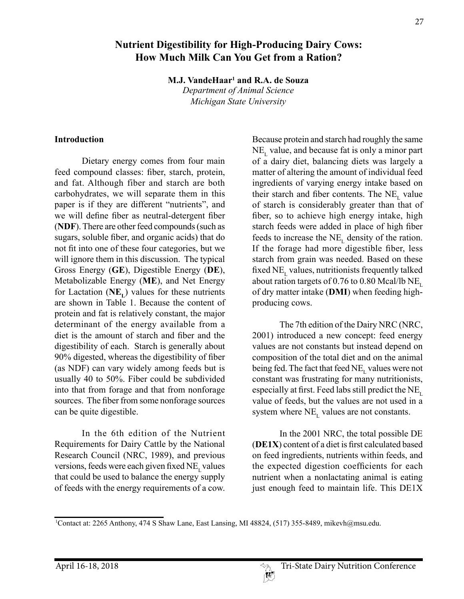# **Nutrient Digestibility for High-Producing Dairy Cows: How Much Milk Can You Get from a Ration?**

**M.J. VandeHaar1 and R.A. de Souza**

*Department of Animal Science Michigan State University*

#### **Introduction**

Dietary energy comes from four main feed compound classes: fiber, starch, protein, and fat. Although fiber and starch are both carbohydrates, we will separate them in this paper is if they are different "nutrients", and we will define fiber as neutral-detergent fiber (**NDF**). There are other feed compounds (such as sugars, soluble fiber, and organic acids) that do not fit into one of these four categories, but we will ignore them in this discussion. The typical Gross Energy (**GE**), Digestible Energy (**DE**), Metabolizable Energy (**ME**), and Net Energy for Lactation  $(NE<sub>L</sub>)$  values for these nutrients are shown in Table 1. Because the content of protein and fat is relatively constant, the major determinant of the energy available from a diet is the amount of starch and fiber and the digestibility of each. Starch is generally about 90% digested, whereas the digestibility of fiber (as NDF) can vary widely among feeds but is usually 40 to 50%. Fiber could be subdivided into that from forage and that from nonforage sources. The fiber from some nonforage sources can be quite digestible.

In the 6th edition of the Nutrient Requirements for Dairy Cattle by the National Research Council (NRC, 1989), and previous versions, feeds were each given fixed  $NE_{I}$  values that could be used to balance the energy supply of feeds with the energy requirements of a cow.

Because protein and starch had roughly the same  $NE<sub>r</sub>$  value, and because fat is only a minor part of a dairy diet, balancing diets was largely a matter of altering the amount of individual feed ingredients of varying energy intake based on their starch and fiber contents. The  $NE<sub>L</sub>$  value of starch is considerably greater than that of fiber, so to achieve high energy intake, high starch feeds were added in place of high fiber feeds to increase the  $NE<sub>L</sub>$  density of the ration. If the forage had more digestible fiber, less starch from grain was needed. Based on these fixed  $NE$ <sub>r</sub> values, nutritionists frequently talked about ration targets of 0.76 to 0.80 Mcal/lb  $NE_{\text{L}}$ of dry matter intake (**DMI**) when feeding highproducing cows.

The 7th edition of the Dairy NRC (NRC, 2001) introduced a new concept: feed energy values are not constants but instead depend on composition of the total diet and on the animal being fed. The fact that feed  $\rm NE_{L}$  values were not constant was frustrating for many nutritionists, especially at first. Feed labs still predict the  $NE_{\text{L}}$ value of feeds, but the values are not used in a system where  $NE$ <sub>r</sub> values are not constants.

In the 2001 NRC, the total possible DE (**DE1X**) content of a diet is first calculated based on feed ingredients, nutrients within feeds, and the expected digestion coefficients for each nutrient when a nonlactating animal is eating just enough feed to maintain life. This DE1X

 $\mathbb{R}^n$ 

<sup>1</sup> Contact at: 2265 Anthony, 474 S Shaw Lane, East Lansing, MI 48824, (517) 355-8489, mikevh@msu.edu.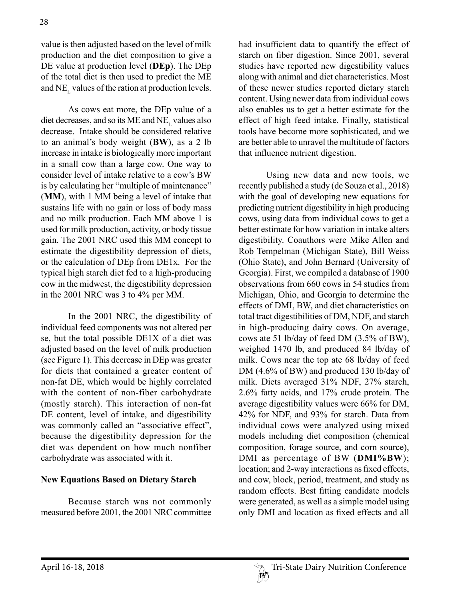value is then adjusted based on the level of milk production and the diet composition to give a DE value at production level (**DEp**). The DEp of the total diet is then used to predict the ME and  $NE_{L}$  values of the ration at production levels.

As cows eat more, the DEp value of a diet decreases, and so its ME and  $NE<sub>L</sub>$  values also decrease. Intake should be considered relative to an animal's body weight (**BW**), as a 2 lb increase in intake is biologically more important in a small cow than a large cow. One way to consider level of intake relative to a cow's BW is by calculating her "multiple of maintenance" (**MM**), with 1 MM being a level of intake that sustains life with no gain or loss of body mass and no milk production. Each MM above 1 is used for milk production, activity, or body tissue gain. The 2001 NRC used this MM concept to estimate the digestibility depression of diets, or the calculation of DEp from DE1x. For the typical high starch diet fed to a high-producing cow in the midwest, the digestibility depression in the 2001 NRC was 3 to 4% per MM.

In the 2001 NRC, the digestibility of individual feed components was not altered per se, but the total possible DE1X of a diet was adjusted based on the level of milk production (see Figure 1). This decrease in DEp was greater for diets that contained a greater content of non-fat DE, which would be highly correlated with the content of non-fiber carbohydrate (mostly starch). This interaction of non-fat DE content, level of intake, and digestibility was commonly called an "associative effect", because the digestibility depression for the diet was dependent on how much nonfiber carbohydrate was associated with it.

### **New Equations Based on Dietary Starch**

Because starch was not commonly measured before 2001, the 2001 NRC committee had insufficient data to quantify the effect of starch on fiber digestion. Since 2001, several studies have reported new digestibility values along with animal and diet characteristics. Most of these newer studies reported dietary starch content. Using newer data from individual cows also enables us to get a better estimate for the effect of high feed intake. Finally, statistical tools have become more sophisticated, and we are better able to unravel the multitude of factors that influence nutrient digestion.

Using new data and new tools, we recently published a study (de Souza et al., 2018) with the goal of developing new equations for predicting nutrient digestibility in high producing cows, using data from individual cows to get a better estimate for how variation in intake alters digestibility. Coauthors were Mike Allen and Rob Tempelman (Michigan State), Bill Weiss (Ohio State), and John Bernard (University of Georgia). First, we compiled a database of 1900 observations from 660 cows in 54 studies from Michigan, Ohio, and Georgia to determine the effects of DMI, BW, and diet characteristics on total tract digestibilities of DM, NDF, and starch in high-producing dairy cows. On average, cows ate 51 lb/day of feed DM (3.5% of BW), weighed 1470 lb, and produced 84 lb/day of milk. Cows near the top ate 68 lb/day of feed DM (4.6% of BW) and produced 130 lb/day of milk. Diets averaged 31% NDF, 27% starch, 2.6% fatty acids, and 17% crude protein. The average digestibility values were 66% for DM, 42% for NDF, and 93% for starch. Data from individual cows were analyzed using mixed models including diet composition (chemical composition, forage source, and corn source), DMI as percentage of BW (**DMI%BW**); location; and 2-way interactions as fixed effects, and cow, block, period, treatment, and study as random effects. Best fitting candidate models were generated, as well as a simple model using only DMI and location as fixed effects and all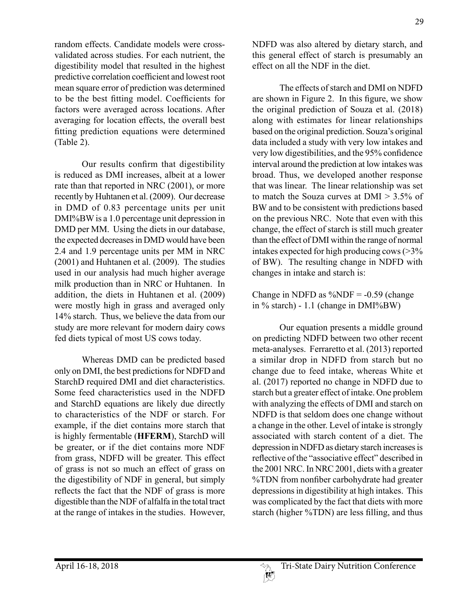random effects. Candidate models were crossvalidated across studies. For each nutrient, the digestibility model that resulted in the highest predictive correlation coefficient and lowest root mean square error of prediction was determined to be the best fitting model. Coefficients for factors were averaged across locations. After averaging for location effects, the overall best fitting prediction equations were determined (Table 2).

Our results confirm that digestibility is reduced as DMI increases, albeit at a lower rate than that reported in NRC (2001), or more recently by Huhtanen et al. (2009). Our decrease in DMD of 0.83 percentage units per unit DMI%BW is a 1.0 percentage unit depression in DMD per MM. Using the diets in our database, the expected decreases in DMD would have been 2.4 and 1.9 percentage units per MM in NRC (2001) and Huhtanen et al. (2009). The studies used in our analysis had much higher average milk production than in NRC or Huhtanen. In addition, the diets in Huhtanen et al. (2009) were mostly high in grass and averaged only 14% starch. Thus, we believe the data from our study are more relevant for modern dairy cows fed diets typical of most US cows today.

Whereas DMD can be predicted based only on DMI, the best predictions for NDFD and StarchD required DMI and diet characteristics. Some feed characteristics used in the NDFD and StarchD equations are likely due directly to characteristics of the NDF or starch. For example, if the diet contains more starch that is highly fermentable (**HFERM**), StarchD will be greater, or if the diet contains more NDF from grass, NDFD will be greater. This effect of grass is not so much an effect of grass on the digestibility of NDF in general, but simply reflects the fact that the NDF of grass is more digestible than the NDF of alfalfa in the total tract at the range of intakes in the studies. However, NDFD was also altered by dietary starch, and this general effect of starch is presumably an effect on all the NDF in the diet.

The effects of starch and DMI on NDFD are shown in Figure 2. In this figure, we show the original prediction of Souza et al. (2018) along with estimates for linear relationships based on the original prediction. Souza's original data included a study with very low intakes and very low digestibilities, and the 95% confidence interval around the prediction at low intakes was broad. Thus, we developed another response that was linear. The linear relationship was set to match the Souza curves at  $DMI > 3.5\%$  of BW and to be consistent with predictions based on the previous NRC. Note that even with this change, the effect of starch is still much greater than the effect of DMI within the range of normal intakes expected for high producing cows (>3% of BW). The resulting change in NDFD with changes in intake and starch is:

Change in NDFD as  $\%$ NDF = -0.59 (change in % starch) - 1.1 (change in DMI%BW)

Our equation presents a middle ground on predicting NDFD between two other recent meta-analyses. Ferraretto et al. (2013) reported a similar drop in NDFD from starch but no change due to feed intake, whereas White et al. (2017) reported no change in NDFD due to starch but a greater effect of intake. One problem with analyzing the effects of DMI and starch on NDFD is that seldom does one change without a change in the other. Level of intake is strongly associated with starch content of a diet. The depression in NDFD as dietary starch increases is reflective of the "associative effect" described in the 2001 NRC. In NRC 2001, diets with a greater %TDN from nonfiber carbohydrate had greater depressions in digestibility at high intakes. This was complicated by the fact that diets with more starch (higher %TDN) are less filling, and thus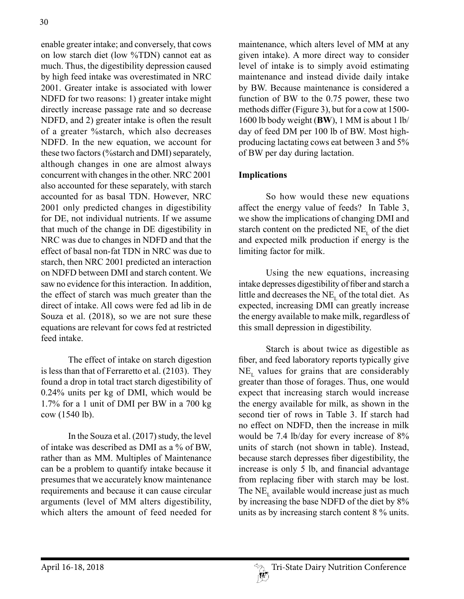enable greater intake; and conversely, that cows on low starch diet (low %TDN) cannot eat as much. Thus, the digestibility depression caused by high feed intake was overestimated in NRC 2001. Greater intake is associated with lower NDFD for two reasons: 1) greater intake might directly increase passage rate and so decrease NDFD, and 2) greater intake is often the result of a greater %starch, which also decreases NDFD. In the new equation, we account for these two factors (%starch and DMI) separately, although changes in one are almost always concurrent with changes in the other. NRC 2001 also accounted for these separately, with starch accounted for as basal TDN. However, NRC 2001 only predicted changes in digestibility for DE, not individual nutrients. If we assume that much of the change in DE digestibility in NRC was due to changes in NDFD and that the effect of basal non-fat TDN in NRC was due to starch, then NRC 2001 predicted an interaction on NDFD between DMI and starch content. We saw no evidence for this interaction. In addition, the effect of starch was much greater than the direct of intake. All cows were fed ad lib in de Souza et al. (2018), so we are not sure these equations are relevant for cows fed at restricted feed intake.

The effect of intake on starch digestion is less than that of Ferraretto et al. (2103). They found a drop in total tract starch digestibility of 0.24% units per kg of DMI, which would be 1.7% for a 1 unit of DMI per BW in a 700 kg cow (1540 lb).

In the Souza et al. (2017) study, the level of intake was described as DMI as a % of BW, rather than as MM. Multiples of Maintenance can be a problem to quantify intake because it presumes that we accurately know maintenance requirements and because it can cause circular arguments (level of MM alters digestibility, which alters the amount of feed needed for

maintenance, which alters level of MM at any given intake). A more direct way to consider level of intake is to simply avoid estimating maintenance and instead divide daily intake by BW. Because maintenance is considered a function of BW to the 0.75 power, these two methods differ (Figure 3), but for a cow at 1500- 1600 lb body weight (**BW**), 1 MM is about 1 lb/ day of feed DM per 100 lb of BW. Most highproducing lactating cows eat between 3 and 5% of BW per day during lactation.

## **Implications**

So how would these new equations affect the energy value of feeds? In Table 3, we show the implications of changing DMI and starch content on the predicted  $NE_{i}$  of the diet and expected milk production if energy is the limiting factor for milk.

Using the new equations, increasing intake depresses digestibility of fiber and starch a little and decreases the  $NE<sub>r</sub>$  of the total diet. As expected, increasing DMI can greatly increase the energy available to make milk, regardless of this small depression in digestibility.

Starch is about twice as digestible as fiber, and feed laboratory reports typically give  $NE<sub>r</sub>$  values for grains that are considerably greater than those of forages. Thus, one would expect that increasing starch would increase the energy available for milk, as shown in the second tier of rows in Table 3. If starch had no effect on NDFD, then the increase in milk would be 7.4 lb/day for every increase of 8% units of starch (not shown in table). Instead, because starch depresses fiber digestibility, the increase is only 5 lb, and financial advantage from replacing fiber with starch may be lost. The  $NE<sub>L</sub>$  available would increase just as much by increasing the base NDFD of the diet by 8% units as by increasing starch content 8 % units.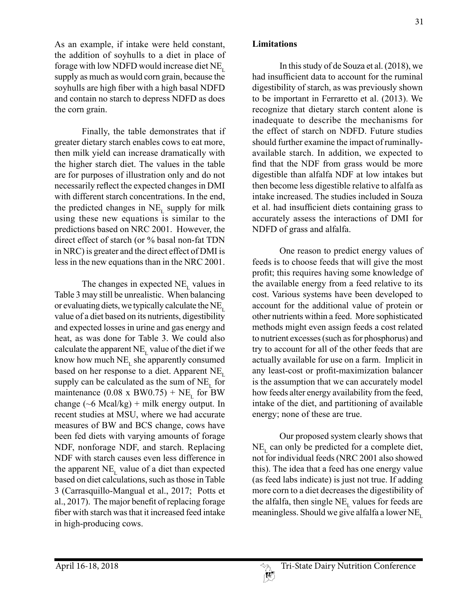As an example, if intake were held constant, the addition of soyhulls to a diet in place of forage with low NDFD would increase diet  $NE_{\tau}$ supply as much as would corn grain, because the soyhulls are high fiber with a high basal NDFD and contain no starch to depress NDFD as does the corn grain.

Finally, the table demonstrates that if greater dietary starch enables cows to eat more, then milk yield can increase dramatically with the higher starch diet. The values in the table are for purposes of illustration only and do not necessarily reflect the expected changes in DMI with different starch concentrations. In the end, the predicted changes in  $NE$ <sub>r</sub> supply for milk using these new equations is similar to the predictions based on NRC 2001. However, the direct effect of starch (or % basal non-fat TDN in NRC) is greater and the direct effect of DMI is less in the new equations than in the NRC 2001.

The changes in expected  $NE_{\text{L}}$  values in Table 3 may still be unrealistic. When balancing or evaluating diets, we typically calculate the  $NE_{\tau}$ value of a diet based on its nutrients, digestibility and expected losses in urine and gas energy and heat, as was done for Table 3. We could also calculate the apparent  $NE_{L}$  value of the diet if we know how much  $NE<sub>L</sub>$  she apparently consumed based on her response to a diet. Apparent  $NE<sub>L</sub>$ supply can be calculated as the sum of  $NE<sub>L</sub>$  for maintenance  $(0.08 \times BW0.75) + NE$ <sub>r</sub> for BW change  $({\sim}6 \text{ Maal/kg}) + \text{milk energy output}$ . In recent studies at MSU, where we had accurate measures of BW and BCS change, cows have been fed diets with varying amounts of forage NDF, nonforage NDF, and starch. Replacing NDF with starch causes even less difference in the apparent  $NE_{\text{L}}$  value of a diet than expected based on diet calculations, such as those in Table 3 (Carrasquillo-Mangual et al., 2017; Potts et al., 2017). The major benefit of replacing forage fiber with starch was that it increased feed intake in high-producing cows.

#### **Limitations**

In this study of de Souza et al. (2018), we had insufficient data to account for the ruminal digestibility of starch, as was previously shown to be important in Ferraretto et al. (2013). We recognize that dietary starch content alone is inadequate to describe the mechanisms for the effect of starch on NDFD. Future studies should further examine the impact of ruminallyavailable starch. In addition, we expected to find that the NDF from grass would be more digestible than alfalfa NDF at low intakes but then become less digestible relative to alfalfa as intake increased. The studies included in Souza et al. had insufficient diets containing grass to accurately assess the interactions of DMI for NDFD of grass and alfalfa.

One reason to predict energy values of feeds is to choose feeds that will give the most profit; this requires having some knowledge of the available energy from a feed relative to its cost. Various systems have been developed to account for the additional value of protein or other nutrients within a feed. More sophisticated methods might even assign feeds a cost related to nutrient excesses (such as for phosphorus) and try to account for all of the other feeds that are actually available for use on a farm. Implicit in any least-cost or profit-maximization balancer is the assumption that we can accurately model how feeds alter energy availability from the feed, intake of the diet, and partitioning of available energy; none of these are true.

Our proposed system clearly shows that  $NE<sub>r</sub>$  can only be predicted for a complete diet, not for individual feeds (NRC 2001 also showed this). The idea that a feed has one energy value (as feed labs indicate) is just not true. If adding more corn to a diet decreases the digestibility of the alfalfa, then single  $NE<sub>L</sub>$  values for feeds are meaningless. Should we give alfalfa a lower  $NE<sub>r</sub>$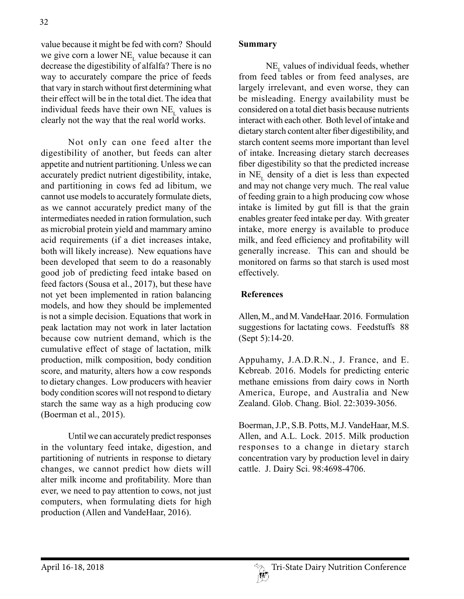value because it might be fed with corn? Should we give corn a lower  $NE_{\text{L}}$  value because it can decrease the digestibility of alfalfa? There is no way to accurately compare the price of feeds that vary in starch without first determining what their effect will be in the total diet. The idea that individual feeds have their own  $NE<sub>L</sub>$  values is clearly not the way that the real world works.

Not only can one feed alter the digestibility of another, but feeds can alter appetite and nutrient partitioning. Unless we can accurately predict nutrient digestibility, intake, and partitioning in cows fed ad libitum, we cannot use models to accurately formulate diets, as we cannot accurately predict many of the intermediates needed in ration formulation, such as microbial protein yield and mammary amino acid requirements (if a diet increases intake, both will likely increase). New equations have been developed that seem to do a reasonably good job of predicting feed intake based on feed factors (Sousa et al., 2017), but these have not yet been implemented in ration balancing models, and how they should be implemented is not a simple decision. Equations that work in peak lactation may not work in later lactation because cow nutrient demand, which is the cumulative effect of stage of lactation, milk production, milk composition, body condition score, and maturity, alters how a cow responds to dietary changes. Low producers with heavier body condition scores will not respond to dietary starch the same way as a high producing cow (Boerman et al., 2015).

Until we can accurately predict responses in the voluntary feed intake, digestion, and partitioning of nutrients in response to dietary changes, we cannot predict how diets will alter milk income and profitability. More than ever, we need to pay attention to cows, not just computers, when formulating diets for high production (Allen and VandeHaar, 2016).

### **Summary**

 $NE<sub>L</sub>$  values of individual feeds, whether from feed tables or from feed analyses, are largely irrelevant, and even worse, they can be misleading. Energy availability must be considered on a total diet basis because nutrients interact with each other. Both level of intake and dietary starch content alter fiber digestibility, and starch content seems more important than level of intake. Increasing dietary starch decreases fiber digestibility so that the predicted increase in  $NE<sub>L</sub>$  density of a diet is less than expected and may not change very much. The real value of feeding grain to a high producing cow whose intake is limited by gut fill is that the grain enables greater feed intake per day. With greater intake, more energy is available to produce milk, and feed efficiency and profitability will generally increase. This can and should be monitored on farms so that starch is used most effectively.

## **References**

Allen, M., and M. VandeHaar. 2016. Formulation suggestions for lactating cows. Feedstuffs 88 (Sept 5):14-20.

Appuhamy, J.A.D.R.N., J. France, and E. Kebreab. 2016. Models for predicting enteric methane emissions from dairy cows in North America, Europe, and Australia and New Zealand. Glob. Chang. Biol. 22:3039-3056.

Boerman, J.P., S.B. Potts, M.J. VandeHaar, M.S. Allen, and A.L. Lock. 2015. Milk production responses to a change in dietary starch concentration vary by production level in dairy cattle. J. Dairy Sci. 98:4698-4706.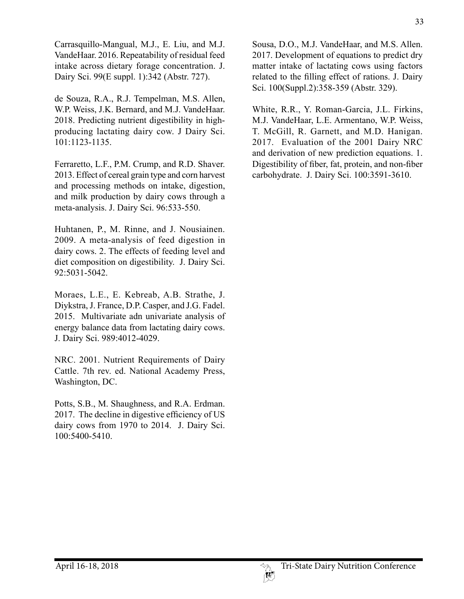Carrasquillo-Mangual, M.J., E. Liu, and M.J. VandeHaar. 2016. Repeatability of residual feed intake across dietary forage concentration. J. Dairy Sci. 99(E suppl. 1):342 (Abstr. 727).

de Souza, R.A., R.J. Tempelman, M.S. Allen, W.P. Weiss, J.K. Bernard, and M.J. VandeHaar. 2018. Predicting nutrient digestibility in highproducing lactating dairy cow. J Dairy Sci. 101:1123-1135.

Ferraretto, L.F., P.M. Crump, and R.D. Shaver. 2013. Effect of cereal grain type and corn harvest and processing methods on intake, digestion, and milk production by dairy cows through a meta-analysis. J. Dairy Sci. 96:533-550.

Huhtanen, P., M. Rinne, and J. Nousiainen. 2009. A meta-analysis of feed digestion in dairy cows. 2. The effects of feeding level and diet composition on digestibility. J. Dairy Sci. 92:5031-5042.

Moraes, L.E., E. Kebreab, A.B. Strathe, J. Diykstra, J. France, D.P. Casper, and J.G. Fadel. 2015. Multivariate adn univariate analysis of energy balance data from lactating dairy cows. J. Dairy Sci. 989:4012-4029.

NRC. 2001. Nutrient Requirements of Dairy Cattle. 7th rev. ed. National Academy Press, Washington, DC.

Potts, S.B., M. Shaughness, and R.A. Erdman. 2017. The decline in digestive efficiency of US dairy cows from 1970 to 2014. J. Dairy Sci. 100:5400-5410.

Sousa, D.O., M.J. VandeHaar, and M.S. Allen. 2017. Development of equations to predict dry matter intake of lactating cows using factors related to the filling effect of rations. J. Dairy Sci. 100(Suppl.2):358-359 (Abstr. 329).

White, R.R., Y. Roman-Garcia, J.L. Firkins, M.J. VandeHaar, L.E. Armentano, W.P. Weiss, T. McGill, R. Garnett, and M.D. Hanigan. 2017. Evaluation of the 2001 Dairy NRC and derivation of new prediction equations. 1. Digestibility of fiber, fat, protein, and non-fiber carbohydrate. J. Dairy Sci. 100:3591-3610.

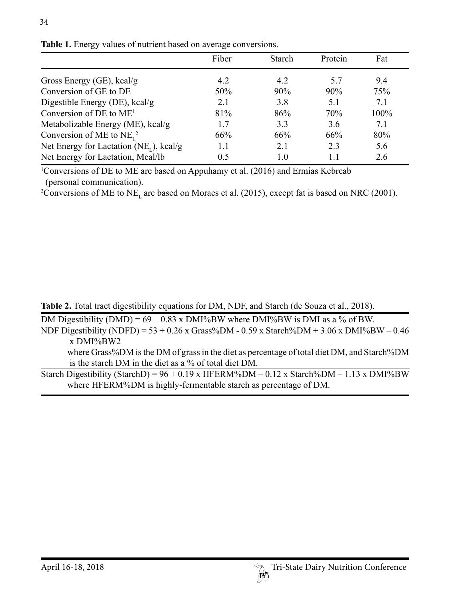|                                               | Fiber | <b>Starch</b> | Protein | Fat     |
|-----------------------------------------------|-------|---------------|---------|---------|
| Gross Energy (GE), $kcal/g$                   | 4.2   | 4.2           | 5.7     | 9.4     |
| Conversion of GE to DE                        | 50%   | 90%           | 90%     | 75%     |
| Digestible Energy (DE), kcal/g                | 2.1   | 3.8           | 5.1     | 7.1     |
| Conversion of DE to $ME1$                     | 81%   | 86%           | 70%     | $100\%$ |
| Metabolizable Energy (ME), kcal/g             | 17    | 3.3           | 3.6     | 71      |
| Conversion of ME to $NEr$ <sup>2</sup>        | 66%   | 66%           | 66%     | 80%     |
| Net Energy for Lactation ( $NE_{I}$ ), kcal/g | 1.1   | 2.1           | 2.3     | 5.6     |
| Net Energy for Lactation, Mcal/lb             | 0.5   | 10            |         | 2.6     |

**Table 1.** Energy values of nutrient based on average conversions.

34

1 Conversions of DE to ME are based on Appuhamy et al. (2016) and Ermias Kebreab (personal communication).

<sup>2</sup>Conversions of ME to  $NE<sub>L</sub>$  are based on Moraes et al. (2015), except fat is based on NRC (2001).

**Table 2.** Total tract digestibility equations for DM, NDF, and Starch (de Souza et al., 2018).

DM Digestibility (DMD) =  $69 - 0.83$  x DMI%BW where DMI%BW is DMI as a % of BW.

NDF Digestibility (NDFD) =  $53 + 0.26$  x Grass%DM -  $0.59$  x Starch%DM +  $3.06$  x DMI%BW –  $0.46$ x DMI%BW2

where Grass%DM is the DM of grass in the diet as percentage of total diet DM, and Starch%DM is the starch DM in the diet as a % of total diet DM.

Starch Digestibility (StarchD) =  $96 + 0.19$  x HFERM%DM – 0.12 x Starch%DM – 1.13 x DMI%BW where HFERM%DM is highly-fermentable starch as percentage of DM.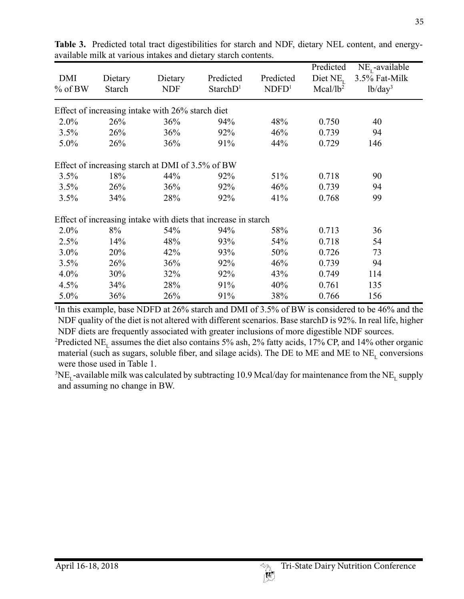| DMI<br>$%$ of BW                                               | Dietary<br>Starch | Dietary<br><b>NDF</b> | Predicted<br>StarchD <sup>1</sup> | Predicted<br>NDFD <sup>1</sup> | Predicted<br>Diet $NE_{\tau}$<br>Mcal/lb <sup>2</sup> | $NE_{L}$ -available<br>3.5% Fat-Milk<br>lb/day <sup>3</sup> |  |  |  |  |
|----------------------------------------------------------------|-------------------|-----------------------|-----------------------------------|--------------------------------|-------------------------------------------------------|-------------------------------------------------------------|--|--|--|--|
| Effect of increasing intake with 26% starch diet               |                   |                       |                                   |                                |                                                       |                                                             |  |  |  |  |
| $2.0\%$                                                        | 26%               | 36%                   | 94%                               | 48%                            | 0.750                                                 | 40                                                          |  |  |  |  |
| 3.5%                                                           | 26%               | 36%                   | 92%                               | 46%                            | 0.739                                                 | 94                                                          |  |  |  |  |
| 5.0%                                                           | 26%               | 36%                   | 91%                               | 44%                            | 0.729                                                 | 146                                                         |  |  |  |  |
| Effect of increasing starch at DMI of 3.5% of BW               |                   |                       |                                   |                                |                                                       |                                                             |  |  |  |  |
| 3.5%                                                           | 18%               | 44%                   | 92%                               | 51%                            | 0.718                                                 | 90                                                          |  |  |  |  |
| 3.5%                                                           | 26%               | 36%                   | 92%                               | 46%                            | 0.739                                                 | 94                                                          |  |  |  |  |
| 3.5%                                                           | 34%               | 28%                   | 92%                               | 41%                            | 0.768                                                 | 99                                                          |  |  |  |  |
| Effect of increasing intake with diets that increase in starch |                   |                       |                                   |                                |                                                       |                                                             |  |  |  |  |
| 2.0%                                                           | 8%                | 54%                   | 94%                               | 58%                            | 0.713                                                 | 36                                                          |  |  |  |  |
| 2.5%                                                           | 14%               | 48%                   | 93%                               | 54%                            | 0.718                                                 | 54                                                          |  |  |  |  |
| 3.0%                                                           | 20%               | 42%                   | 93%                               | 50%                            | 0.726                                                 | 73                                                          |  |  |  |  |
| 3.5%                                                           | 26%               | 36%                   | 92%                               | 46%                            | 0.739                                                 | 94                                                          |  |  |  |  |
| 4.0%                                                           | 30%               | 32%                   | 92%                               | 43%                            | 0.749                                                 | 114                                                         |  |  |  |  |
| 4.5%                                                           | 34%               | 28%                   | 91%                               | 40%                            | 0.761                                                 | 135                                                         |  |  |  |  |
| 5.0%                                                           | 36%               | 26%                   | 91%                               | 38%                            | 0.766                                                 | 156                                                         |  |  |  |  |

**Table 3.** Predicted total tract digestibilities for starch and NDF, dietary NEL content, and energyavailable milk at various intakes and dietary starch contents.

<sup>1</sup>In this example, base NDFD at 26% starch and DMI of 3.5% of BW is considered to be 46% and the NDF quality of the diet is not altered with different scenarios. Base starchD is 92%. In real life, higher NDF diets are frequently associated with greater inclusions of more digestible NDF sources.

<sup>2</sup>Predicted NE<sub>L</sub> assumes the diet also contains 5% ash, 2% fatty acids, 17% CP, and 14% other organic material (such as sugars, soluble fiber, and silage acids). The DE to ME and ME to  $NE<sub>L</sub>$  conversions were those used in Table 1.

 ${}^{3}\rm{NE}_{L}$ -available milk was calculated by subtracting 10.9 Mcal/day for maintenance from the  $\rm{NE}_{L}$  supply and assuming no change in BW.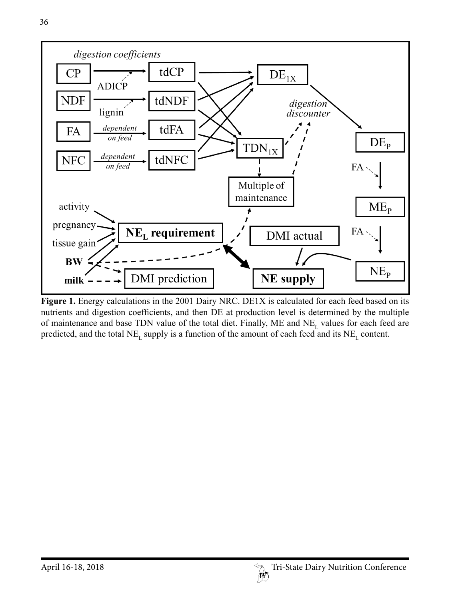

**Figure 1.** Energy calculations in the 2001 Dairy NRC. DE1X is calculated for each feed based on its nutrients and digestion coefficients, and then DE at production level is determined by the multiple of maintenance and base TDN value of the total diet. Finally, ME and  $NE<sub>L</sub>$  values for each feed are predicted, and the total  $NE<sub>L</sub>$  supply is a function of the amount of each feed and its  $NE<sub>L</sub>$  content.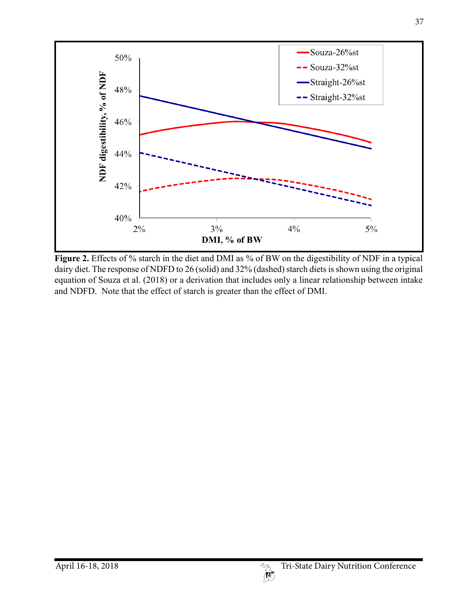

**Figure 2.** Effects of % starch in the diet and DMI as % of BW on the digestibility of NDF in a typical dairy diet. The response of NDFD to 26 (solid) and 32% (dashed) starch diets is shown using the original equation of Souza et al. (2018) or a derivation that includes only a linear relationship between intake and NDFD. Note that the effect of starch is greater than the effect of DMI.